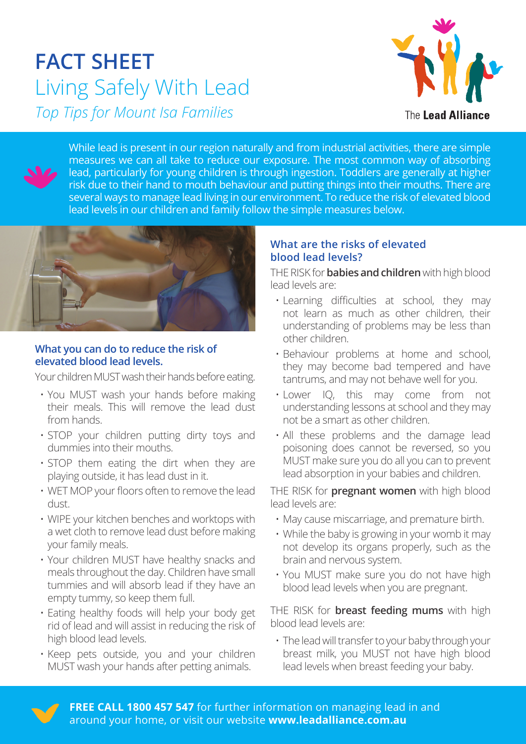# **FACT SHEET** Living Safely With Lead *Top Tips for Mount Isa Families*



While lead is present in our region naturally and from industrial activities, there are simple measures we can all take to reduce our exposure. The most common way of absorbing lead, particularly for young children is through ingestion. Toddlers are generally at higher risk due to their hand to mouth behaviour and putting things into their mouths. There are several ways to manage lead living in our environment. To reduce the risk of elevated blood lead levels in our children and family follow the simple measures below.



#### **What you can do to reduce the risk of elevated blood lead levels.**

Your children MUST wash their hands before eating.

- You MUST wash your hands before making their meals. This will remove the lead dust from hands.
- STOP your children putting dirty toys and dummies into their mouths.
- STOP them eating the dirt when they are playing outside, it has lead dust in it.
- WET MOP your floors often to remove the lead dust.
- WIPE your kitchen benches and worktops with a wet cloth to remove lead dust before making your family meals.
- Your children MUST have healthy snacks and meals throughout the day. Children have small tummies and will absorb lead if they have an empty tummy, so keep them full.
- Eating healthy foods will help your body get rid of lead and will assist in reducing the risk of high blood lead levels.
- Keep pets outside, you and your children MUST wash your hands after petting animals.

#### **What are the risks of elevated blood lead levels?**

THE RISK for **babies and children** with high blood lead levels are:

- Learning difficulties at school, they may not learn as much as other children, their understanding of problems may be less than other children.
- Behaviour problems at home and school, they may become bad tempered and have tantrums, and may not behave well for you.
- Lower IQ, this may come from not understanding lessons at school and they may not be a smart as other children.
- All these problems and the damage lead poisoning does cannot be reversed, so you MUST make sure you do all you can to prevent lead absorption in your babies and children.

THE RISK for **pregnant women** with high blood lead levels are:

- May cause miscarriage, and premature birth.
- While the baby is growing in your womb it may not develop its organs properly, such as the brain and nervous system.
- You MUST make sure you do not have high blood lead levels when you are pregnant.

THE RISK for **breast feeding mums** with high blood lead levels are:

• The lead will transfer to your baby through your breast milk, you MUST not have high blood lead levels when breast feeding your baby.



**FREE CALL 1800 457 547** for further information on managing lead in and around your home, or visit our website **www.leadalliance.com.au**